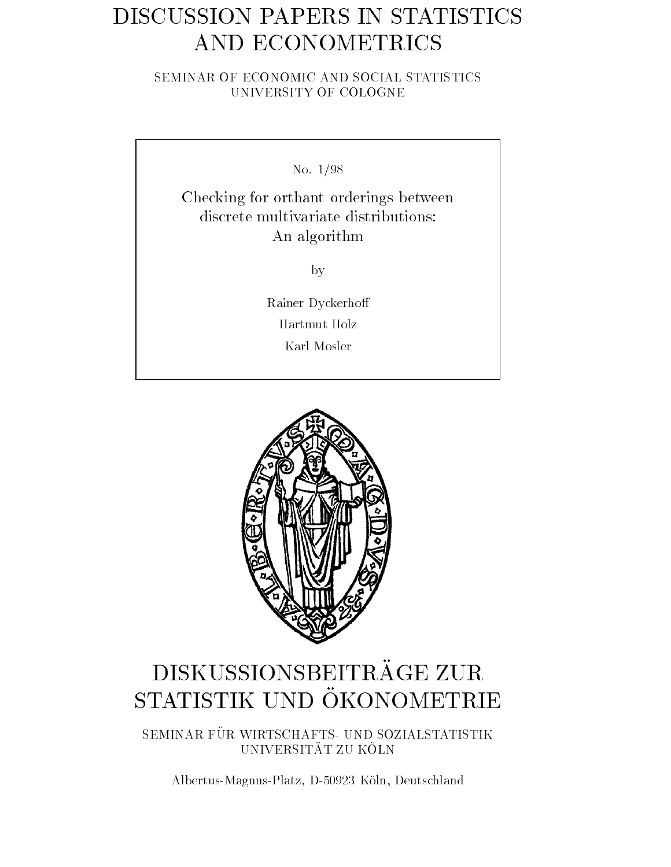# DISCUSSION PAPERS IN STATISTICS AND ECONOMETRICS

SEMINAR OF ECONOMIC AND SOCIAL STATISTICS UNIVERSITY OF COLOGNE

No-

Checking for orthant orderings between discrete multivariate distributions: An algorithm

by

Rainer Dyckerho Hartmut Holz Karl Mosler



# DISKUSSIONSBEITRAGE ZUR OTUTIOTIIZ OND ORONOMETRIES

SEMINAR FÜR WIRTSCHAFTS- UND SOZIALSTATISTIK UNIVERSITÄT ZU KÖLN

Albertus Magnus Platz D 
Koln Deutschland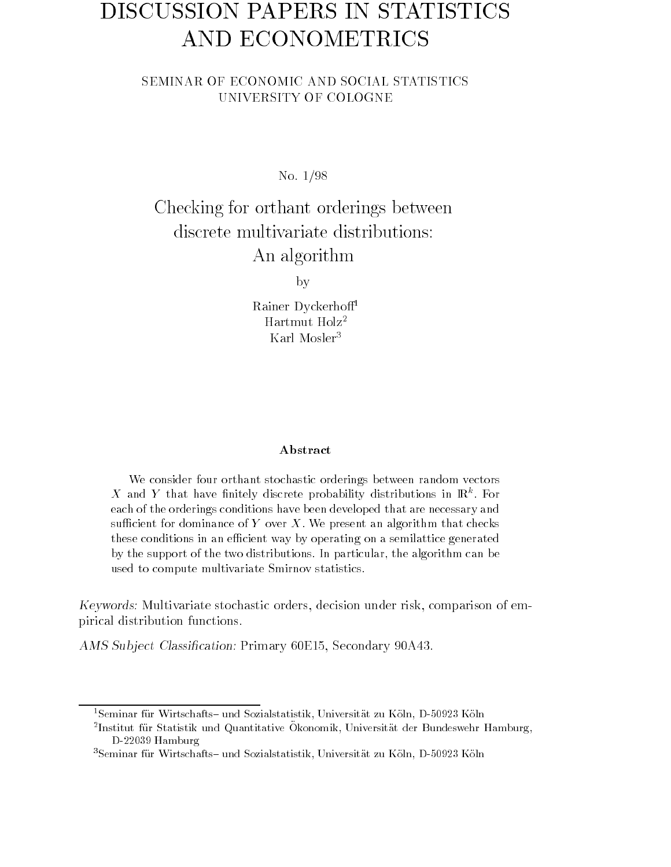# DISCUSSION PAPERS IN STATISTICS AND ECONOMETRICS

# SEMINAR OF ECONOMIC AND SOCIAL STATISTICS

No-de-American control of the control of the control of the control of the control of the control of the control of the control of the control of the control of the control of the control of the control of the control of t

Checking for orthant orderings between discrete multivariate distributions: An algorithm

by

Rainer Dyckerho Hartmut Holz-Karl Mosler

#### Abstract

We consider four orthant stochastic orderings between random vectors  $\bm{X}$  and  $\bm{Y}$  that have finitely discrete probability distributions in  $\mathbb{R}^n$ . For each of the orderings conditions have been developed that are necessary and sufficient for dominance of Y over X. We present an algorithm that checks these conditions in an efficient way by operating on a semilattice generated by the support of the two distributions. In particular, the algorithm can be used to compute multivariate Smirnov statistics

Keywords- Multivariate stochastic orders decision under risk comparison of em pirical distribution functions-

ams sub ject cancernation a annual primary certains, certain

<sup>-</sup>Seminar für Wirtschafts- und Sozialstatistik, Universität zu Koln, D-90925 Koln

<sup>-</sup>Institut fur Statistik und Quantitative Okonomik. Universitat der Dundeswehr Hamburg,  $D$ -22009 Hamburg

<sup>-</sup>Seminar fur Wirtschafts- und Sozialstatistik. Universitat zu Koln. D-90925 Koln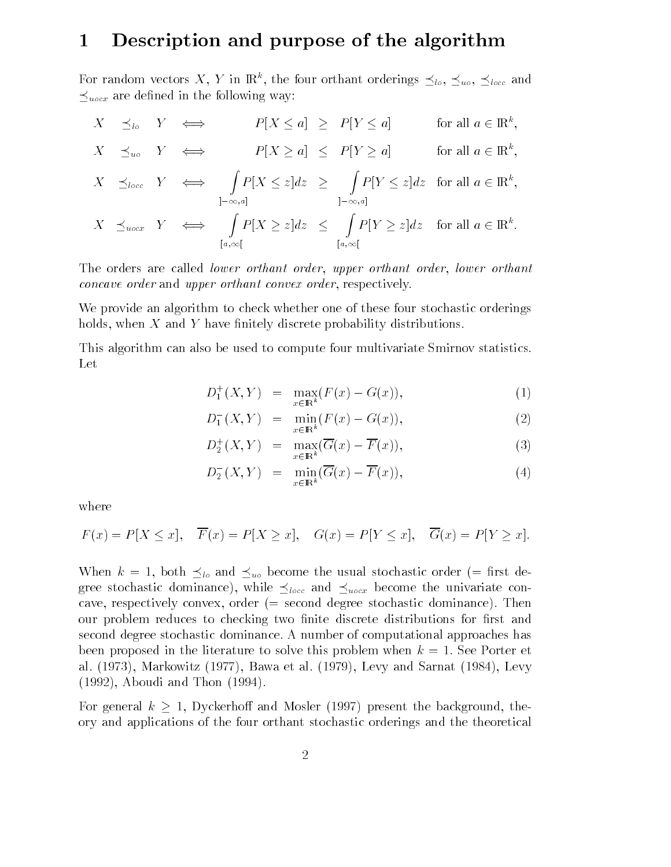## Description and purpose of the algorithm

For random vectors X, Y in  $\mathbb{R}^k$ , the four orthant orderings  $\preceq_{lo}$ ,  $\preceq_{uo}$ ,  $\preceq_{loc}$  and  $\preceq_{\text{uncx}}$  are defined in the following way:

$$
X \preceq_{lo} Y \iff P[X \leq a] \geq P[Y \leq a] \quad \text{for all } a \in \mathbb{R}^k,
$$
  
\n
$$
X \preceq_{uo} Y \iff P[X \geq a] \leq P[Y \geq a] \quad \text{for all } a \in \mathbb{R}^k,
$$
  
\n
$$
X \preceq_{locc} Y \iff \int_{1-\infty, a]} P[X \leq z] dz \geq \int_{1-\infty, a]} P[Y \leq z] dz \quad \text{for all } a \in \mathbb{R}^k,
$$
  
\n
$$
X \preceq_{uccx} Y \iff \int_{[a,\infty[} P[X \geq z] dz \leq \int_{[a,\infty[} P[Y \geq z] dz \quad \text{for all } a \in \mathbb{R}^k.
$$

The orders are called lower orthant order upper orthant order lower orthant concave order and upper orthant convex order respectively-

We provide an algorithm to check whether one of these four stochastic orderings holds when <sup>X</sup> and <sup>Y</sup> have nitely discrete probability distributions-

This algorithm can also be used to compute four multivariate Smirnov statistics-Let

$$
D_1^+(X, Y) = \max_{x \in \mathbb{R}^k} (F(x) - G(x)), \tag{1}
$$

$$
D_1^-(X, Y) = \min_{x \in \mathbb{R}^k} (F(x) - G(x)), \tag{2}
$$

$$
D_2^+(X,Y) = \max_{x \in \mathbb{R}^k} (\overline{G}(x) - \overline{F}(x)), \tag{3}
$$

$$
D_2^-(X,Y) = \min_{x \in \mathbb{R}^k} (\overline{G}(x) - \overline{F}(x)), \tag{4}
$$

where

$$
F(x) = P[X \le x], \quad \overline{F}(x) = P[X \ge x], \quad G(x) = P[Y \le x], \quad \overline{G}(x) = P[Y \ge x].
$$

When  $k = 1$ , both  $\preceq_{l_o}$  and  $\preceq_{u_o}$  become the usual stochastic order (= first degree stochastic dominance), while  $\preceq_{loc}$  and  $\preceq_{loc}$  become the univariate concave convex degree stochastic dominance-dominance-dominance-dominance-dominanceour problem reduces to checking two finite discrete distributions for first and second degree stochastic dominance-dominance-dominance-dominance-dominance-dominal approaches has a been proposed in the literature to solve this problem when <sup>k</sup> - See Porter et al-Markowitz in the same of the same of the same of the same of the same of the same of the same of the same o  $\lambda$  and  $\lambda$  and  $\lambda$  -  $\lambda$  -  $\lambda$  -  $\lambda$  -  $\lambda$  -  $\lambda$  -  $\lambda$  -  $\lambda$  -  $\lambda$  -  $\lambda$  -  $\lambda$  -  $\lambda$  -  $\lambda$  -  $\lambda$  -  $\lambda$  -  $\lambda$  -  $\lambda$  -  $\lambda$  -  $\lambda$  -  $\lambda$  -  $\lambda$  -  $\lambda$  -  $\lambda$  -  $\lambda$  -  $\lambda$  -  $\lambda$  -  $\lambda$  -  $\lambda$  -  $\lambda$  -

For general  $k \geq 1$ , Dyckerhoff and Mosler (1997) present the background, the ory and applications of the four orthant stochastic orderings and the theoretical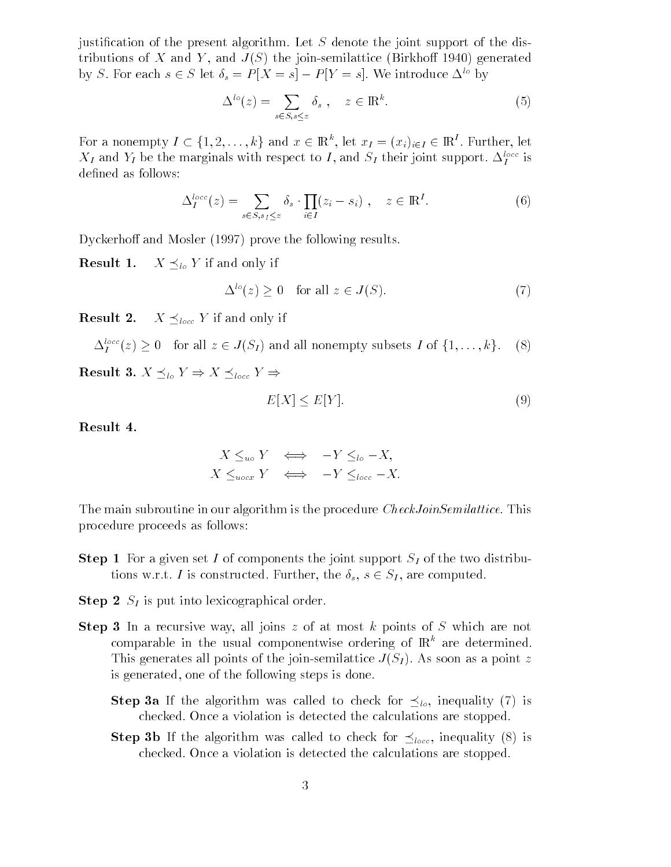in the present algorithm-present algorithm-compared to the support of the joint support of the distribution of tributions of  $\mathcal{S}$  and  $\mathcal{S}$  and  $\mathcal{S}$  and  $\mathcal{S}$  and  $\mathcal{S}$  are contributions of  $\mathcal{S}$  . And  $\mathcal{S}$ by S. For each  $s \in S$  let  $\delta_s = P|X = s| - P|Y = s|$ . We introduce  $\Delta^{\omega}$  by

$$
\Delta^{lo}(z) = \sum_{s \in S, s \le z} \delta_s , \quad z \in \mathbb{R}^k.
$$
 (5)

For a nonempty  $I \subset \{1, 2, \ldots, k\}$  and  $x \in \mathbb{R}^k$ , let  $x_I = (x_i)_{i \in I} \in \mathbb{R}^I$ . Further, let  $\Lambda_I$  and  $Y_I$  be the marginals with respect to I, and  $S_I$  their joint support.  $\Delta_I^\perp$  is defined as follows:

$$
\Delta_I^{loc}(z) = \sum_{s \in S, s_I \le z} \delta_s \cdot \prod_{i \in I} (z_i - s_i) , \quad z \in \mathbb{R}^I.
$$
 (6)

Dyckerhoff and Mosler  $(1997)$  prove the following results.

ILLJUIL I.  $X \preceq_{lo} Y$  if and only if

$$
\Delta^{lo}(z) \ge 0 \quad \text{for all } z \in J(S). \tag{7}
$$

**Result 2.**  $X \preceq_{loc} Y$  if and only if

$$
\Delta_I^{\text{loc}}(z) \ge 0 \quad \text{for all } z \in J(S_I) \text{ and all nonempty subsets } I \text{ of } \{1, \ldots, k\}. \tag{8}
$$

**Result 3.**  $X \preceq_{lo} Y \Rightarrow X \preceq_{locc} Y \Rightarrow$ 

$$
E[X] \le E[Y].\tag{9}
$$

Result

$$
X \leq_{uo} Y \iff -Y \leq_{lo} -X,
$$
  

$$
X \leq_{uocx} Y \iff -Y \leq_{loc} -X.
$$

The main subroutine in our algorithm is the procedure  $\mathbb{R}^n$  . This the procedure  $\mathbb{R}^n$ procedure proceeds as follows

- $S_{\rm tot}$  represents the form point  $S_{\rm tot}$  and  $S_{\rm tot}$  in the two distributions. tions w.r.t. I is constructed. Further, the  $\delta_s$ ,  $s \in S_I$ , are computed.
- $\mathbf{S}$   $\mathbf{S}$   $\mathbf{S}$  is put into identical order.
- $S$ tep  $\sigma$  in a recursive way, an joins  $z$  or at most k points or  $\sigma$  which are not comparable in the usual componentwise ordering of  $\mathbb{R}^k$  are determined. This generates all points of the joint contractice A (AI) . The source of bosines of is generated one of the following steps is done-
	- **Step 3a** If the algorithm was called to check for  $\preceq_{lo}$ , inequality (7) is checked- on the checked-stopped-stopped-stopped-stopped-stopped-stopped-stopped-
	- **Step 3b** If the algorithm was called to check for  $\preceq_{loc}$ , inequality (8) is checked- on the checked-stopped-stopped-stopped-stopped-stopped-stopped-stopped-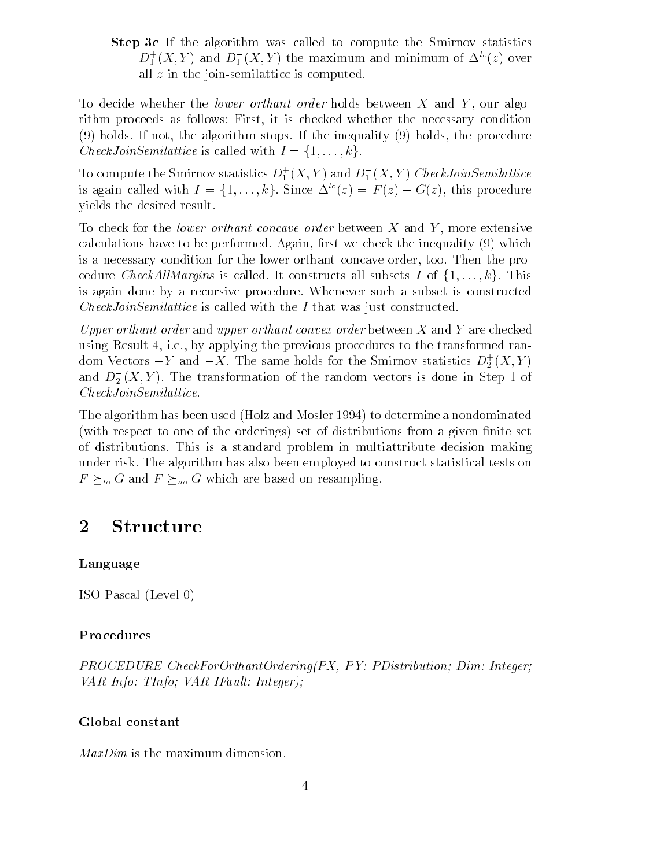Step oc If the algorithm was called to compute the Smirnov statistics  $D_1^+(X, Y)$  and  $D_1^-(X, Y)$  the maximum and minimum of  $\Delta^{\infty}(z)$  over all  $z$  in the join-semilattice is computed.

To decide whether the lower orthant order holds between <sup>X</sup> and <sup>Y</sup> our algo rithm process as follows First Conditions are necessary conditions for the necessary conditions of holds- If not the algorithm stops- If the inequality holds the procedure *CheckJoinSemilattice* is called with  $I = \{1, ..., k\}$ .

To compute the Smirnov statistics  $D_1^+(X,Y)$  and  $D_1^-(X,Y)$  CheckJoinSemilattice is again called with  $I = \{1, ..., k\}$ . Since  $\Delta^{lo}(z) = F(z) - G(z)$ , this procedure yields the desired result-

To check for the lower orthant concave order between <sup>X</sup> and <sup>Y</sup> more extensive calculations have to be performed-to and interest the interest the inequality (0) which is is a necessary condition for the lower orthant concave order too- Then the pro cedure *CheckAllMargins* is called. It constructs all subsets I of  $\{1,\ldots,k\}$ . This is again done by a recursive procedure- Whenever such a subset is constructed  $CheckJoinSemilattice$  is called with the  $I$  that was just constructed.

Upper orthant order and upper orthant convex order between  $X$  and  $Y$  are checked using Result i-e- by applying the previous procedures to the transformed ran dom Vectors  $-Y$  and  $-X$ . The same holds for the Smirnov statistics  $D_2^+(X,Y)$ and  $D_2(\Lambda,Y)$ . The transformation of the random vectors is done in Step 1 of -CheckJoinSemilattice-

The algorithm has been used (Holz and Mosler 1994) to determine a nondominated (with respect to one of the orderings) set of distributions from a given finite set of distributions-decisions-decisions-decisions-decision making  $\mathbf{M}$ under risk- The algorithm has also been employed to construct statistical tests on  $F \succeq_{l_o} G$  and  $F \succeq_{u_o} G$  which are based on resampling.

#### $\overline{2}$ Structure

### Language

 $ISO-Pascal (Level 0)$ 

## Procedures

PROCEDURE CheckForOrthantOrdering-PX PY PDistribution Dim Integer VAR Info: TInfo; VAR IFault: Integer);

## Global constant

 $MaxDim$  is the maximum dimension.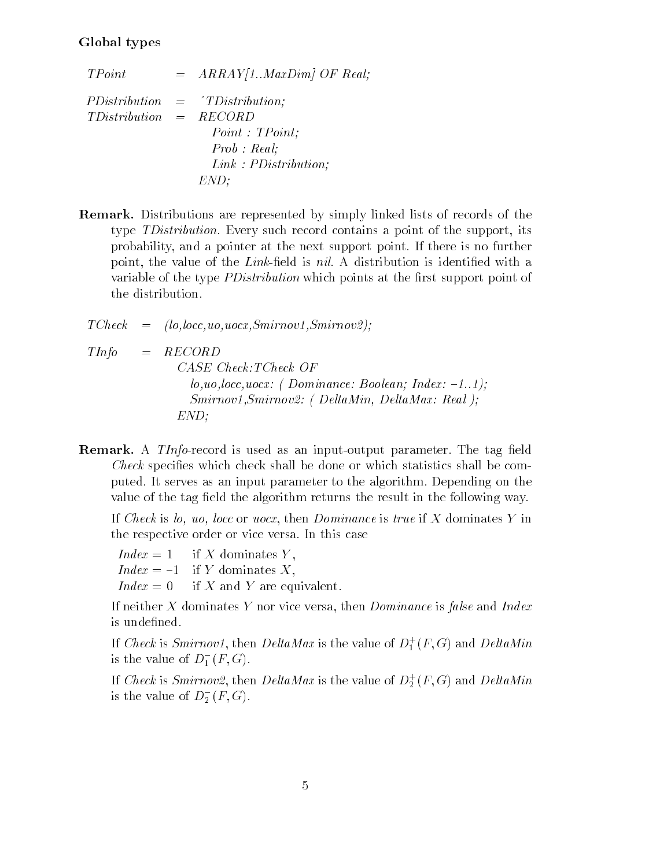### Global types

- $TPoint$ TPO International procession of the contract of the contract of the contract of the contract of the contract of the contract of the contract of the contract of the contract of the contract of the contract of the contract o PDistribution  $=$  $\hat{Y}TDistribution$ : TDistribution RECORD  $=$  $Point: TPoint:$  $Prob : Real;$  $Link: PDistribution;$ END
- Remark Distributions are represented by simply linked lists of records of the type TDistribution- Every such record contains a point of the support its probability and a point-the-next support point-the-next support point-the-next support point-the-next support p point the value of the value of the value of the value of the Link of the Link of the Link of the Value of the variable of the type *PDistribution* which points at the first support point of the distribution-
- $TC\!$  $(lo, locc, uo, uocx, Smirnov1, Smirnov2);$  $=$
- $TInfo = RECORD$ CASE Check: TCheck OF louoloccuocx - Dominance Boolean Index Smirnov Smirnov
- DeltaMin DeltaMax Real END
- remark in the thigh foodid is doed as an imput butput parameter fine tag initial *Check* specifies which check shall be done or which statistics shall be computed as a serves and interpreted parameters as an input parameter of the algorithmvalue of the tag field the algorithm returns the result in the following way.

if check is local is the dominance if the station is the station of the station is the station of the station the respective or the respective order or any this case  $\sim$ 

 $Index = 1$  if X dominates Y,  $Index = -1$  if Y dominates X,  $Index = 0$  if X and Y are equivalent.

If neither <sup>X</sup> dominates <sup>Y</sup> nor vice versa then Dominance is false and Index is undefined.

If Check is Smirnovi, then DeltaMax is the value of  $D_1^+(F,G)$  and DeltaMin is the value of  $D_1^+(r, G)$ .

If Check is Smirnov2, then DeltaMax is the value of  $D_2^+(F,G)$  and DeltaMin is the value of  $D_2^-(\Gamma,\mathsf{G}).$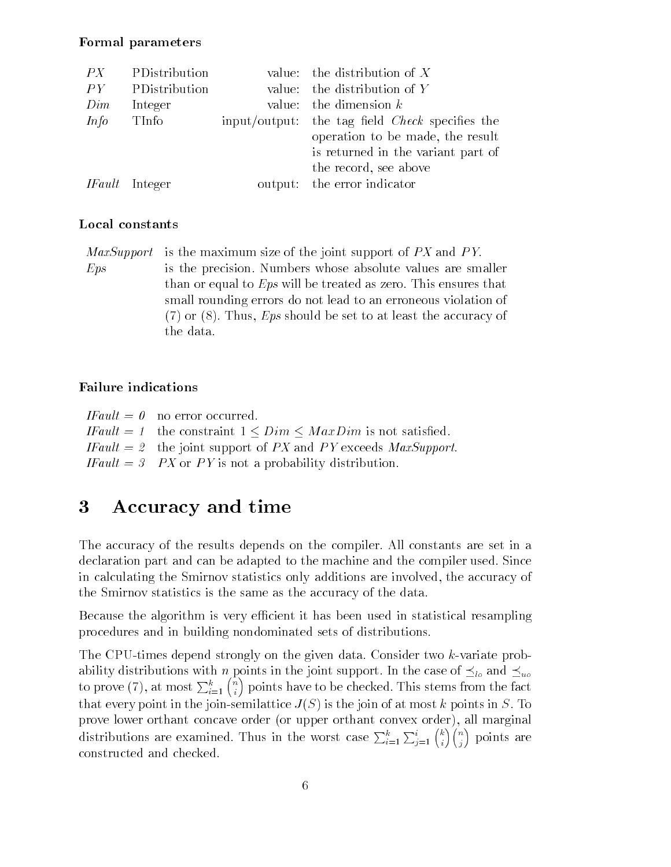#### Formal parameters

| PX          | PDistribution         | value: the distribution of $X$                         |
|-------------|-----------------------|--------------------------------------------------------|
| PY          | PDistribution         | value: the distribution of $Y$                         |
| Dim         | Integer               | value: the dimension $k$                               |
| <i>Info</i> | TInfo                 | input/output: the tag field <i>Check</i> specifies the |
|             |                       | operation to be made, the result                       |
|             |                       | is returned in the variant part of                     |
|             |                       | the record, see above                                  |
|             | <i>IFault</i> Integer | output: the error indicator                            |
|             |                       |                                                        |

### Local constants

 $MaxSupport$  is the maximum size of the joint support of  $PX$  and  $PY$ .

Eps is the precision- Numbers whose absolute values are smaller than or equal to Eps will be treated as  $\sim$  that the treated as  $\sim$  that the treated small rounding errors do not lead to an erroneous violation of or - Thus Eps should be set to at least the accuracy of the data.

### Failure indications

| $\textit{IFault} = 0$ no error occurred.                                                     |
|----------------------------------------------------------------------------------------------|
| <i>IFault</i> = 1 the constraint $1 \leq Dim \leq MaxDim$ is not satisfied.                  |
| <i>IFault</i> $= 2$ the joint support of <i>PX</i> and <i>PY</i> exceeds <i>MaxSupport</i> . |
| <i>IFault</i> = 3 <i>PX</i> or <i>PY</i> is not a probability distribution.                  |

#### $\bf{3}$ Accuracy and time

The accuracy of the results depends on the compiler-set in all constants are set in all constants are set in a declaration part and can be adapted to the machine and the machine and the compiler usedin calculating the Smirnov statistics only additions are involved the accuracy of the Smirnov statistics is the same as the accuracy of the data-

Because the algorithm is very efficient it has been used in statistical resampling procedures and in building nondominated sets of distributions-

The Constant stronger through the given distance the constant problem of the stronger of the stronger of the s ability distributions with n points in the joint support. In the case of  $\preceq_{lo}$  and  $\preceq_{uo}$ to prove (7), at most  $\sum_{i=1}^{k} {n \choose i}$  points have to be checked. This stems from the fact that every point in the joint continues of a join the join of at most k points in Sprove recover all matters concave or upper order or upper order or upper order or upper order  $A$  and  $A$ distributions are examined. Thus in the worst case  $\sum_{i=1}^{k} \sum_{j=1}^{i} {k \choose i} {n \choose j}$  points are constructed and checked.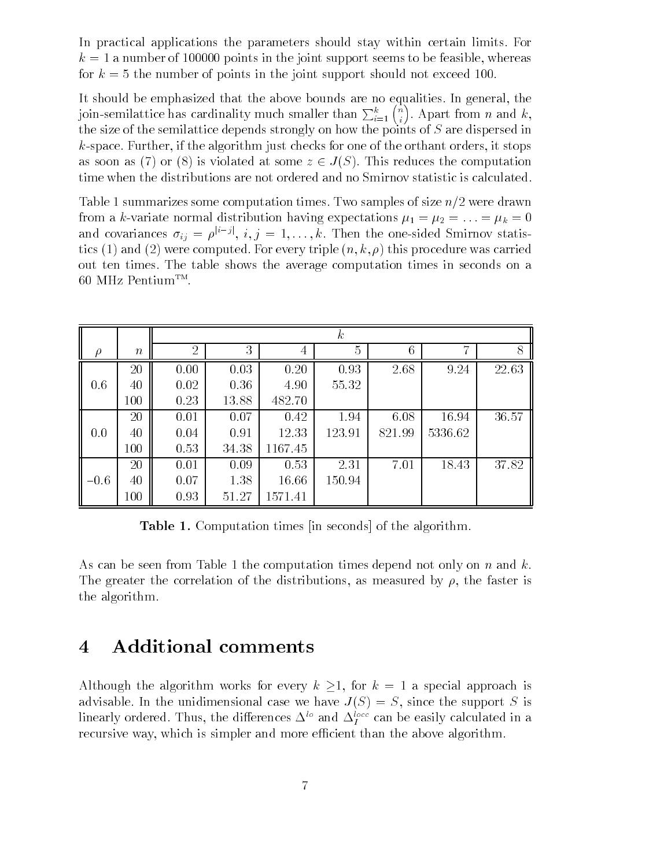In practical applications the parameters should stay within certain limits- For <sup>k</sup> anumber of  points in the joint support seems to be feasible whereas for  $k = 5$  the number of points in the joint support should not exceed 100.

It should be emphasized that the above bounds are no equalities- In general the join-semilattice has cardinality much smaller than  $\sum_{i=1}^{k} \binom{n}{i}$ . Apart from n and k, the size of the semilattice depends strongly on how the points of S are dispersed in if the algorithm is the algorithm it stops for the order of the orders of the orders of the orders of the order as soon as (7) or (8) is violated at some  $z \in J(S)$ . This reduces the computation time when the distributions are not ordered and no Smirnov statistic is calculated-

Table summarizes some computation times- Two samples of size n
were drawn from a koring the second distribution distribution  $\bigcap_{i=1}^n \mathbb{P}^1$  for  $\bigcap_{i=1}^n \mathbb{P}^1$   $\bigcap_{i=1}^n \mathbb{P}^1$  ,  $\bigcap_{i=1}^n \mathbb{P}^1$  ,  $\bigcap_{i=1}^n \mathbb{P}^1$ and covariances  $\sigma_{ij} = \rho^{i+j}, i, j = 1, \ldots, k$ . Then the one-sided Smirnov statis- $\{x\}$  and  $\{x\}$  were computed to the contraction  $\{y\}$  and  $\{x\}$  and  $\{x\}$  and  $\{y\}$ out ten times- the times-times the time in second computations in seconds on average in a ou MHz Pentium™.

|               |                  | $\boldsymbol{k}$ |       |         |                |        |         |       |
|---------------|------------------|------------------|-------|---------|----------------|--------|---------|-------|
| $\mathcal{O}$ | $\boldsymbol{n}$ | $\overline{2}$   | 3     | 4       | $\overline{5}$ | 6      | ↣       | 8     |
|               | 20               | 0.00             | 0.03  | 0.20    | 0.93           | 2.68   | 9.24    | 22.63 |
| 0.6           | 40               | 0.02             | 0.36  | 4.90    | 55.32          |        |         |       |
|               | 100              | 0.23             | 13.88 | 482.70  |                |        |         |       |
|               | 20               | 0.01             | 0.07  | 0.42    | 1.94           | 6.08   | 16.94   | 36.57 |
| 0.0           | 40               | 0.04             | 0.91  | 12.33   | 123.91         | 821.99 | 5336.62 |       |
|               | 100              | 0.53             | 34.38 | 1167.45 |                |        |         |       |
|               | 20               | 0.01             | 0.09  | 0.53    | 2.31           | 7.01   | 18.43   | 37.82 |
| $-0.6$        | 40               | 0.07             | 1.38  | 16.66   | 150.94         |        |         |       |
|               | $100\,$          | 0.93             | 51.27 | 1571.41 |                |        |         |       |

**Table 1.** Computation times in seconds of the algorithm.

As can be seen from Table 1 the computation times depend not only on n and k. The greater the correlation of the distributions as measured by the faster is the algorithm-

#### Additional comments  $\overline{4}$

Although the algorithm works for every  $k \geq 1$ , for  $k = 1$  a special approach is advisable-to-section and case we have supported the support S is significantly the support S is supported to th imearly ordered. Thus, the differences  $\Delta^{\cdots}$  and  $\Delta^{\cdots}_I$  can be easily calculated in a recursive way, which is simpler and more economic than the above algorithment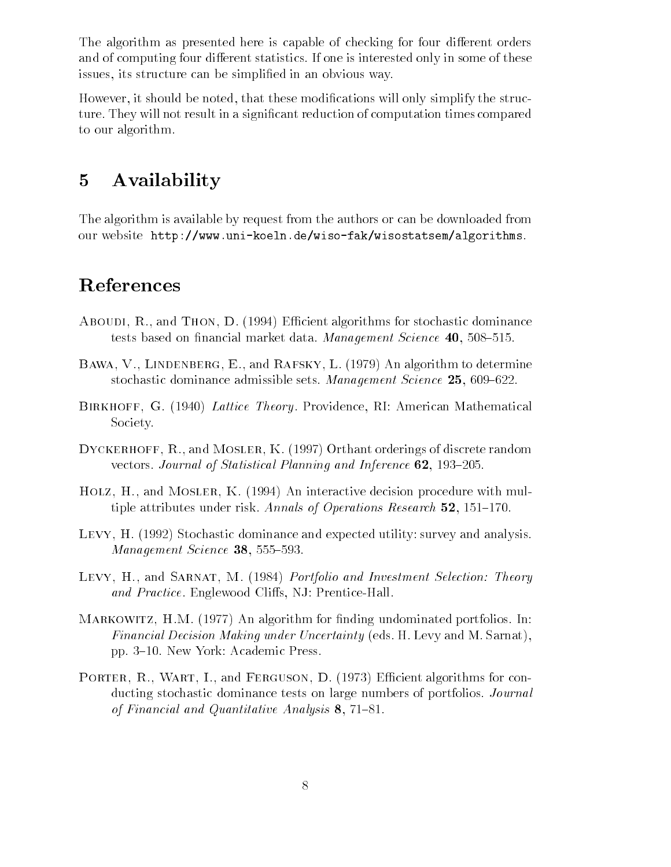The algorithm as presented here is capable of checking for four different orders and of computing four dimensions statistics in some or the statistics only in some of these  $\sim$ issues its structure can be simplied in an obvious way-

However it should be noted that these modications will only simplify the struc  $\mathbf{M}$  . They will not reduction of  $\mathbf{M}$  and  $\mathbf{M}$  are duction times computation times computation of computation times computation of  $\mathbf{M}$ to our algorithm.

# Availability

The algorithm is available by request from the authors or can be downloaded from our website http://www.anii http://wini.an.com/wini/wini/wini/wini/wini

## References

- aboudient algorithms for stocking and those completeness for stochastic dominance of the stochastic stochastic tests saced on nimitive market data-tractation development services and over old
- $\blacksquare$  . The determines of the determines of the determines of the determines of the determines of the determines of the determines of the determines of the determines of the determines of the determines of the determines stochastic dominance wannoned sets. Hawkagement Science 201 000 022.
- Birkhoff- G  Lattice Theory- Providence RI American Mathematical Society-
- Dyckerhoff- R- and Mosler- K Orthant orderings of discrete random vectors, a salvator of Memerical Planning and Inference  $\bullet$  , the second
- Holz- H- and Mosler- K An interactive decision procedure with mul tiple attributes under risk- Annals of Operations Research -
- Levy- H Stochastic dominance and expected utility survey and analysismanagement sevenge www.goo ooo.
- Levy- H- and Sarnat- M Portfolio and Investment Selection Theory and Practice - Properties - Present Practice - Present
- m and algorithm for algorithm for  $\mathcal{A}$  , and  $\mathcal{A}$  are algorithm for  $\mathcal{A}$  , and  $\mathcal{A}$  are algorithm for  $\mathcal{A}$ Financial Decision Making under Uncertainty eds- H- Levy and M- Sarnat pp- - New York Academic Press-
- Porter- R- Wart- I- and Ferguson- D Ecient algorithms for con ducting stochastic dominance tests on large numbers of portfolios- Journal of I would concern and the analysis of the state and  $\alpha$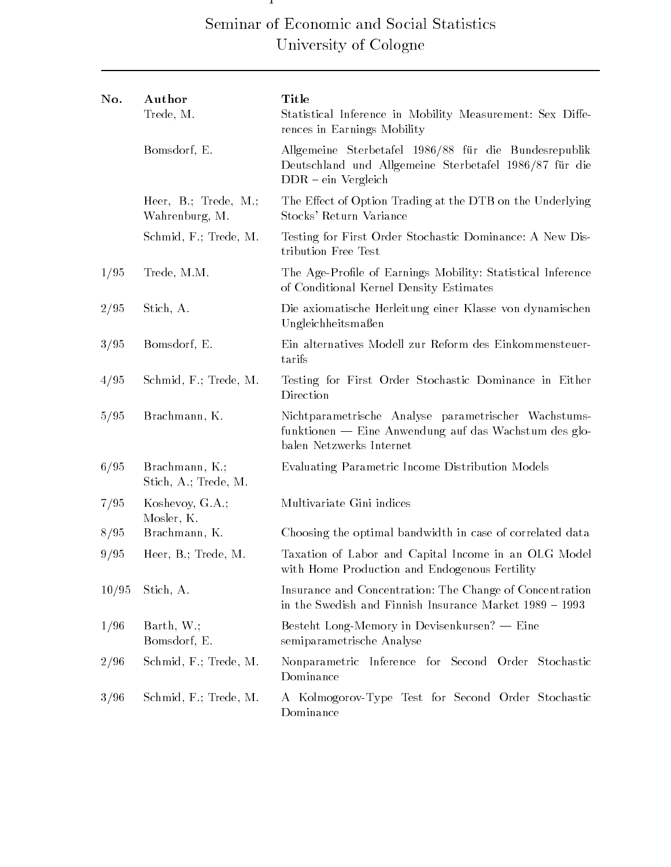# Seminar of Economic and Social Statistics University of Cologne

Discussion Papers in Statistics and Econometrics

| No.   | Author<br>Trede, M.                       | Title<br>Statistical Inference in Mobility Measurement: Sex Diffe-<br>rences in Earnings Mobility                                         |  |
|-------|-------------------------------------------|-------------------------------------------------------------------------------------------------------------------------------------------|--|
|       | Bomsdorf, E.                              | Allgemeine Sterbetafel 1986/88 für die Bundesrepublik<br>Deutschland und Allgemeine Sterbetafel 1986/87 für die<br>$DDR - ein Vergleich$  |  |
|       | Heer, $B$ .; Trede, M.;<br>Wahrenburg, M. | The Effect of Option Trading at the DTB on the Underlying<br>Stocks' Return Variance                                                      |  |
|       | Schmid, F.; Trede, M.                     | Testing for First Order Stochastic Dominance: A New Dis-<br>tribution Free Test                                                           |  |
| 1/95  | Trede, M.M.                               | The Age-Profile of Earnings Mobility: Statistical Inference<br>of Conditional Kernel Density Estimates                                    |  |
| 2/95  | Stich, A.                                 | Die axiomatische Herleitung einer Klasse von dynamischen<br>Ungleichheitsmaßen                                                            |  |
| 3/95  | Bomsdorf, E.                              | Ein alternatives Modell zur Reform des Einkommensteuer-<br>tarifs                                                                         |  |
| 4/95  | Schmid, F.; Trede, M.                     | Testing for First Order Stochastic Dominance in Either<br>Direction                                                                       |  |
| 5/95  | Brachmann, K.                             | Nichtparametrische Analyse parametrischer Wachstums-<br>funktionen — Eine Anwendung auf das Wachstum des glo-<br>balen Netzwerks Internet |  |
| 6/95  | Brachmann, K.;<br>Stich, A.; Trede, M.    | Evaluating Parametric Income Distribution Models                                                                                          |  |
| 7/95  | Koshevoy, G.A.;<br>Mosler, K.             | Multivariate Gini indices                                                                                                                 |  |
| 8/95  | Brachmann, K.                             | Choosing the optimal bandwidth in case of correlated data                                                                                 |  |
| 9/95  | Heer, $B$ .; Trede, $M$ .                 | Taxation of Labor and Capital Income in an OLG Model<br>with Home Production and Endogenous Fertility                                     |  |
| 10/95 | Stich, A.                                 | Insurance and Concentration: The Change of Concentration<br>in the Swedish and Finnish Insurance Market 1989 - 1993                       |  |
| 1/96  | Barth, W.;<br>Bomsdorf, E.                | Besteht Long-Memory in Devisenkursen? - Eine<br>semiparametrische Analyse                                                                 |  |
| 2/96  | Schmid, F.; Trede, M.                     | Nonparametric Inference for Second Order Stochastic<br>Dominance                                                                          |  |
| 3/96  | Schmid, F.; Trede, M.                     | A Kolmogorov-Type Test for Second Order Stochastic<br>Dominance                                                                           |  |